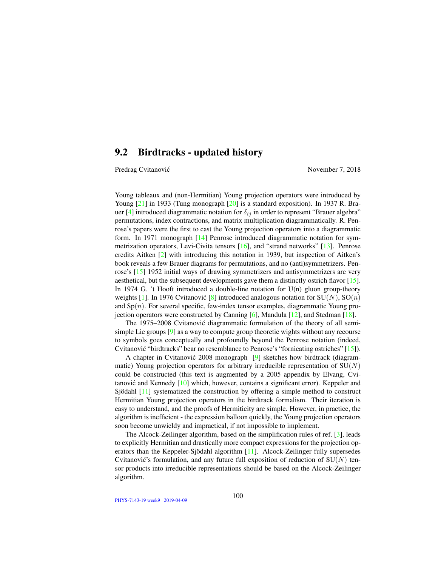### 9.2 Birdtracks - updated history

Predrag Cvitanović November 7, 2018

Young tableaux and (non-Hermitian) Young projection operators were introduced by Young [21] in 1933 (Tung monograph [20] is a standard exposition). In 1937 R. Brauer [4] introduced diagrammatic notation for  $\delta_{ij}$  in order to represent "Brauer algebra" permutations, index contractions, and matrix multiplication diagrammatically. R. Penrose's papers were the first to cast the Young projection operators into a diagrammatic form. In 1971 monograph [14] Penrose introduced diagrammatic notation for symmetrization operators, Levi-Civita tensors [16], and "strand networks" [13]. Penrose credits Aitken [2] with introducing this notation in 1939, but inspection of Aitken's book reveals a few Brauer diagrams for permutations, and no (anti)symmetrizers. Penrose's [15] 1952 initial ways of drawing symmetrizers and antisymmetrizers are very aesthetical, but the subsequent developments gave them a distinctly ostrich flavor [15]. In 1974 G. 't Hooft introduced a double-line notation for  $U(n)$  gluon group-theory weights [1]. In 1976 Cvitanovic [8] introduced analogous notation for  $SU(N)$ ,  $SO(n)$ and  $Sp(n)$ . For several specific, few-index tensor examples, diagrammatic Young projection operators were constructed by Canning  $[6]$ , Mandula  $[12]$ , and Stedman  $[18]$ .

The 1975–2008 Cvitanovic diagrammatic formulation of the theory of all semi- ´ simple Lie groups [9] as a way to compute group theoretic wights without any recourse to symbols goes conceptually and profoundly beyond the Penrose notation (indeed, Cvitanović "birdtracks" bear no resemblance to Penrose's "fornicating ostriches"  $[15]$ ).

A chapter in Cvitanović 2008 monograph  $[9]$  sketches how birdtrack (diagrammatic) Young projection operators for arbitrary irreducible representation of  $SU(N)$ could be constructed (this text is augmented by a 2005 appendix by Elvang, Cvitanović and Kennedy  $[10]$  which, however, contains a significant error). Keppeler and Sjödahl [11] systematized the construction by offering a simple method to construct Hermitian Young projection operators in the birdtrack formalism. Their iteration is easy to understand, and the proofs of Hermiticity are simple. However, in practice, the algorithm is inefficient - the expression balloon quickly, the Young projection operators soon become unwieldy and impractical, if not impossible to implement.

The Alcock-Zeilinger algorithm, based on the simplification rules of ref. [3], leads to explicitly Hermitian and drastically more compact expressions for the projection operators than the Keppeler-Sjödahl algorithm [11]. Alcock-Zeilinger fully supersedes Cvitanović's formulation, and any future full exposition of reduction of  $SU(N)$  tensor products into irreducible representations should be based on the Alcock-Zeilinger algorithm.

PHYS-7143-19 week9 2019-04-09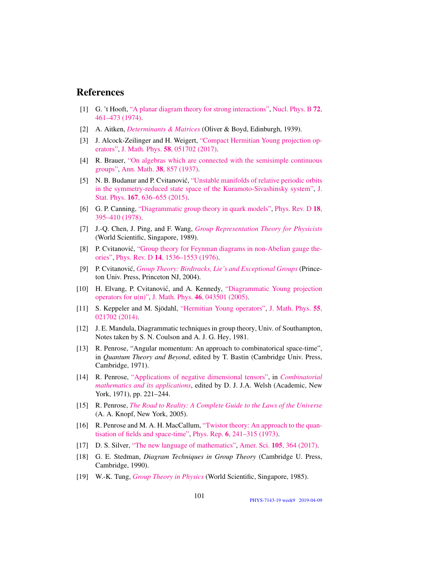# References

- [1] G. 't Hooft, ["A planar diagram theory for strong interactions",](http://dx.doi.org/10.1016/0550-3213(74)90154-0) [Nucl. Phys. B](http://dx.doi.org/10.1016/0550-3213(74)90154-0) 72, [461–473 \(1974\).](http://dx.doi.org/10.1016/0550-3213(74)90154-0)
- [2] A. Aitken, *[Determinants & Matrices](http://books.google.com/books?vid=ISBN9781473347106)* (Oliver & Boyd, Edinburgh, 1939).
- [3] J. Alcock-Zeilinger and H. Weigert, ["Compact Hermitian Young projection op](http://dx.doi.org/10.1063/1.4983478)[erators",](http://dx.doi.org/10.1063/1.4983478) J. Math. Phys. 58[, 051702 \(2017\).](http://dx.doi.org/10.1063/1.4983478)
- [4] R. Brauer, ["On algebras which are connected with the semisimple continuous](http://dx.doi.org/10.2307/1968843) [groups",](http://dx.doi.org/10.2307/1968843) Ann. Math. 38[, 857 \(1937\).](http://dx.doi.org/10.2307/1968843)
- [5] N. B. Budanur and P. Cvitanović, ["Unstable manifolds of relative periodic orbits](http://dx.doi.org/10.1007/s10955-016-1672-z) [in the symmetry-reduced state space of the Kuramoto-Sivashinsky system",](http://dx.doi.org/10.1007/s10955-016-1672-z) [J.](http://dx.doi.org/10.1007/s10955-016-1672-z) Stat. Phys. 167[, 636–655 \(2015\).](http://dx.doi.org/10.1007/s10955-016-1672-z)
- [6] G. P. Canning, ["Diagrammatic group theory in quark models",](http://dx.doi.org/10.1103/PhysRevD.18.395) [Phys. Rev. D](http://dx.doi.org/10.1103/PhysRevD.18.395) 18, [395–410 \(1978\).](http://dx.doi.org/10.1103/PhysRevD.18.395)
- [7] J.-Q. Chen, J. Ping, and F. Wang, *[Group Representation Theory for Physicists](http://dx.doi.org/10.1142/0262)* (World Scientific, Singapore, 1989).
- [8] P. Cvitanović, ["Group theory for Feynman diagrams in non-Abelian gauge the](http://dx.doi.org/10.1103/PhysRevD.14.1536)[ories",](http://dx.doi.org/10.1103/PhysRevD.14.1536) Phys. Rev. D 14[, 1536–1553 \(1976\).](http://dx.doi.org/10.1103/PhysRevD.14.1536)
- [9] P. Cvitanovic,´ *[Group Theory: Birdtracks, Lie's and Exceptional Groups](https://press.princeton.edu/titles/8839.html)* (Princeton Univ. Press, Princeton NJ, 2004).
- [10] H. Elvang, P. Cvitanović, and A. Kennedy, ["Diagrammatic Young projection](http://dx.doi.org/10.1063/1.1832753) [operators for u\(n\)",](http://dx.doi.org/10.1063/1.1832753) J. Math. Phys. 46[, 043501 \(2005\).](http://dx.doi.org/10.1063/1.1832753)
- [11] S. Keppeler and M. Sjödahl, ["Hermitian Young operators",](http://dx.doi.org/10.1063/1.4865177) [J. Math. Phys.](http://dx.doi.org/10.1063/1.4865177) 55, [021702 \(2014\).](http://dx.doi.org/10.1063/1.4865177)
- [12] J. E. Mandula, Diagrammatic techniques in group theory, Univ. of Southampton, Notes taken by S. N. Coulson and A. J. G. Hey, 1981.
- [13] R. Penrose, "Angular momentum: An approach to combinatorical space-time", in *Quantum Theory and Beyond*, edited by T. Bastin (Cambridge Univ. Press, Cambridge, 1971).
- [14] R. Penrose, ["Applications of negative dimensional tensors",](http://homepages.math.uic.edu/~kauffman/Penrose.pdf) in *[Combinatorial](http://homepages.math.uic.edu/~kauffman/Penrose.pdf) [mathematics and its applications](http://homepages.math.uic.edu/~kauffman/Penrose.pdf)*, edited by D. J. J.A. Welsh (Academic, New York, 1971), pp. 221–244.
- [15] R. Penrose, *[The Road to Reality: A Complete Guide to the Laws of the Universe](http://books.google.com/books?vid=ISBN9781446418208)* (A. A. Knopf, New York, 2005).
- [16] R. Penrose and M. A. H. MacCallum, ["Twistor theory: An approach to the quan](http://dx.doi.org/10.1016/0370-1573(73)90008-2)[tisation of fields and space-time",](http://dx.doi.org/10.1016/0370-1573(73)90008-2) Phys. Rep. 6[, 241–315 \(1973\).](http://dx.doi.org/10.1016/0370-1573(73)90008-2)
- [17] D. S. Silver, ["The new language of mathematics",](http://dx.doi.org/10.1511/2017.105.6.364) Amer. Sci. 105[, 364 \(2017\).](http://dx.doi.org/10.1511/2017.105.6.364)
- [18] G. E. Stedman, *Diagram Techniques in Group Theory* (Cambridge U. Press, Cambridge, 1990).
- [19] W.-K. Tung, *[Group Theory in Physics](http://dx.doi.org/10.1142/0097)* (World Scientific, Singapore, 1985).

PHYS-7143-19 week9 2019-04-09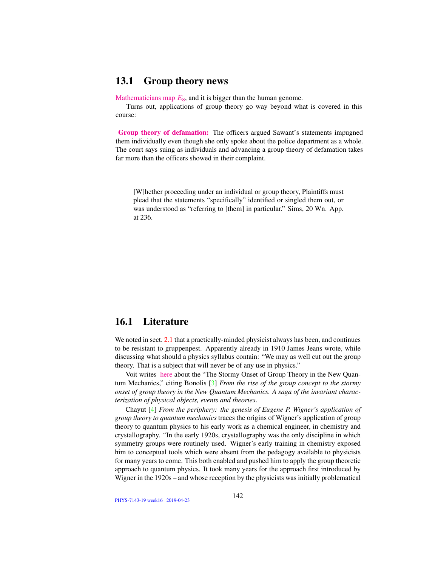### 13.1 Group theory news

Mathematicians map  $E_8$ , and it is bigger than the human genome.

Turns out, applications of group theory go way beyond what is covered in this course:

Group theory of defamation: The officers argued Sawant's statements impugned them individually even though she only spoke about the police department as a whole. The court says suing as individuals and advancing a group theory of defamation takes far more than the officers showed in their complaint.

[W]hether proceeding under an individual or group theory, Plaintiffs must plead that the statements "specifically" identified or singled them out, or was understood as "referring to [them] in particular." Sims, 20 Wn. App. at 236.

### 16.1 Literature

We noted in sect. 2.1 that a practically-minded physicist always has been, and continues to be resistant to gruppenpest. Apparently already in 1910 James Jeans wrote, while discussing what should a physics syllabus contain: "We may as well cut out the group theory. That is a subject that will never be of any use in physics."

Voit writes [here](http://www.math.columbia.edu/~woit/wordpress/?p=191) about the "The Stormy Onset of Group Theory in the New Quantum Mechanics," citing Bonolis [3] *From the rise of the group concept to the stormy onset of group theory in the New Quantum Mechanics. A saga of the invariant characterization of physical objects, events and theories*.

Chayut [4] *From the periphery: the genesis of Eugene P. Wigner's application of group theory to quantum mechanics* traces the origins of Wigner's application of group theory to quantum physics to his early work as a chemical engineer, in chemistry and crystallography. "In the early 1920s, crystallography was the only discipline in which symmetry groups were routinely used. Wigner's early training in chemistry exposed him to conceptual tools which were absent from the pedagogy available to physicists for many years to come. This both enabled and pushed him to apply the group theoretic approach to quantum physics. It took many years for the approach first introduced by Wigner in the 1920s – and whose reception by the physicists was initially problematical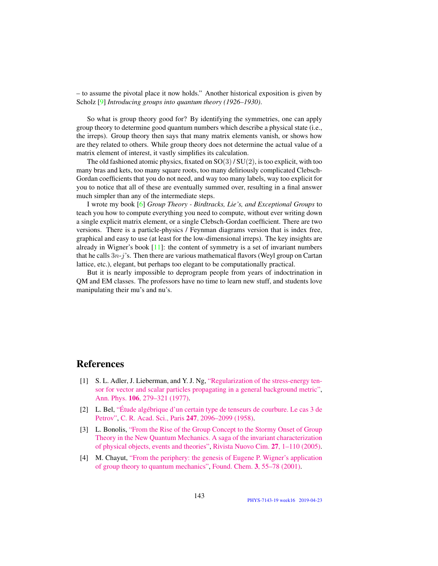– to assume the pivotal place it now holds." Another historical exposition is given by Scholz [9] *Introducing groups into quantum theory (1926–1930)*.

So what is group theory good for? By identifying the symmetries, one can apply group theory to determine good quantum numbers which describe a physical state (i.e., the irreps). Group theory then says that many matrix elements vanish, or shows how are they related to others. While group theory does not determine the actual value of a matrix element of interest, it vastly simplifies its calculation.

The old fashioned atomic physics, fixated on  $SO(3)/SU(2)$ , is too explicit, with too many bras and kets, too many square roots, too many deliriously complicated Clebsch-Gordan coefficients that you do not need, and way too many labels, way too explicit for you to notice that all of these are eventually summed over, resulting in a final answer much simpler than any of the intermediate steps.

I wrote my book [6] *Group Theory - Birdtracks, Lie's, and Exceptional Groups* to teach you how to compute everything you need to compute, without ever writing down a single explicit matrix element, or a single Clebsch-Gordan coefficient. There are two versions. There is a particle-physics / Feynman diagrams version that is index free, graphical and easy to use (at least for the low-dimensional irreps). The key insights are already in Wigner's book  $[11]$ : the content of symmetry is a set of invariant numbers that he calls  $3n-j$ 's. Then there are various mathematical flavors (Weyl group on Cartan lattice, etc.), elegant, but perhaps too elegant to be computationally practical.

But it is nearly impossible to deprogram people from years of indoctrination in QM and EM classes. The professors have no time to learn new stuff, and students love manipulating their mu's and nu's.

## References

- [1] S. L. Adler, J. Lieberman, and Y. J. Ng, ["Regularization of the stress-energy ten](http://dx.doi.org/10.1016/0003-4916(77)90313-X)[sor for vector and scalar particles propagating in a general background metric",](http://dx.doi.org/10.1016/0003-4916(77)90313-X) Ann. Phys. 106[, 279–321 \(1977\).](http://dx.doi.org/10.1016/0003-4916(77)90313-X)
- [2] L. Bel, ["Étude algébrique d'un certain type de tenseurs de courbure. Le cas 3 de](http://gallica.bnf.fr/ark:/12148/bpt6k7258/f1138.item.r=certain%20type%20de%20tenseurs%20de%20courbure.zoom) [Petrov",](http://gallica.bnf.fr/ark:/12148/bpt6k7258/f1138.item.r=certain%20type%20de%20tenseurs%20de%20courbure.zoom) [C. R. Acad. Sci., Paris](http://gallica.bnf.fr/ark:/12148/bpt6k7258/f1138.item.r=certain%20type%20de%20tenseurs%20de%20courbure.zoom) 247, 2096–2099 (1958).
- [3] L. Bonolis, ["From the Rise of the Group Concept to the Stormy Onset of Group](https://www.researchgate.net/publication/234207946) [Theory in the New Quantum Mechanics. A saga of the invariant characterization](https://www.researchgate.net/publication/234207946) [of physical objects, events and theories",](https://www.researchgate.net/publication/234207946) [Rivista Nuovo Cim.](https://www.researchgate.net/publication/234207946) 27, 1–110 (2005).
- [4] M. Chayut, ["From the periphery: the genesis of Eugene P. Wigner's application](http://dx.doi.org/10.1023/A:1011431408763) [of group theory to quantum mechanics",](http://dx.doi.org/10.1023/A:1011431408763) Found. Chem. 3[, 55–78 \(2001\).](http://dx.doi.org/10.1023/A:1011431408763)

PHYS-7143-19 week16 2019-04-23